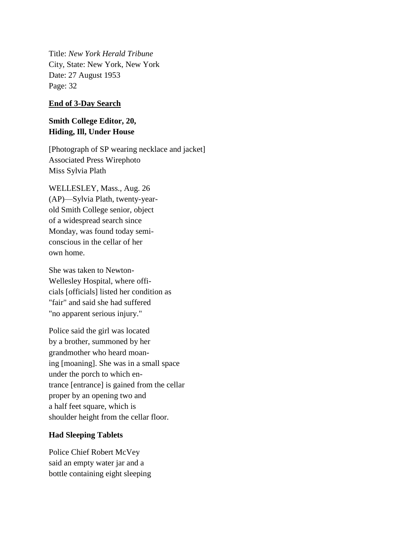Title: *New York Herald Tribune* City, State: New York, New York Date: 27 August 1953 Page: 32

## **End of 3-Day Search**

## **Smith College Editor, 20, Hiding, Ill, Under House**

[Photograph of SP wearing necklace and jacket] Associated Press Wirephoto Miss Sylvia Plath

WELLESLEY, Mass., Aug. 26 (AP)—Sylvia Plath, twenty-yearold Smith College senior, object of a widespread search since Monday, was found today semiconscious in the cellar of her own home.

She was taken to Newton-Wellesley Hospital, where officials [officials] listed her condition as "fair" and said she had suffered "no apparent serious injury."

Police said the girl was located by a brother, summoned by her grandmother who heard moaning [moaning]. She was in a small space under the porch to which entrance [entrance] is gained from the cellar proper by an opening two and a half feet square, which is shoulder height from the cellar floor.

## **Had Sleeping Tablets**

Police Chief Robert McVey said an empty water jar and a bottle containing eight sleeping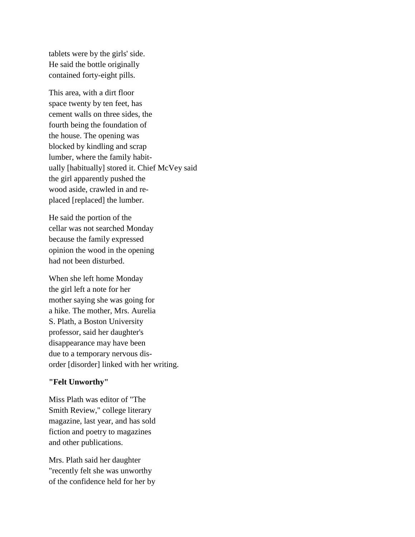tablets were by the girls' side. He said the bottle originally contained forty-eight pills.

This area, with a dirt floor space twenty by ten feet, has cement walls on three sides, the fourth being the foundation of the house. The opening was blocked by kindling and scrap lumber, where the family habitually [habitually] stored it. Chief McVey said the girl apparently pushed the wood aside, crawled in and replaced [replaced] the lumber.

He said the portion of the cellar was not searched Monday because the family expressed opinion the wood in the opening had not been disturbed.

When she left home Monday the girl left a note for her mother saying she was going for a hike. The mother, Mrs. Aurelia S. Plath, a Boston University professor, said her daughter's disappearance may have been due to a temporary nervous disorder [disorder] linked with her writing.

## **"Felt Unworthy"**

Miss Plath was editor of "The Smith Review," college literary magazine, last year, and has sold fiction and poetry to magazines and other publications.

Mrs. Plath said her daughter "recently felt she was unworthy of the confidence held for her by